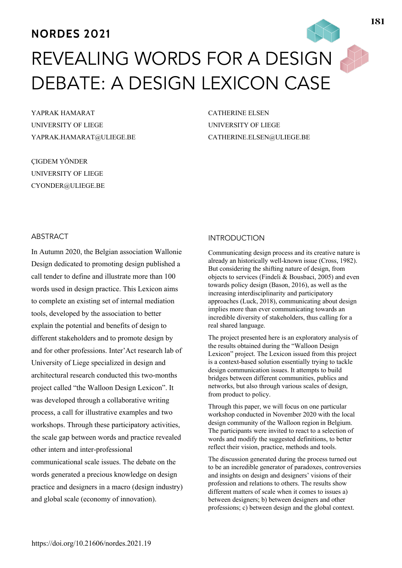# **NORDES 2021**

# REVEALING WORDS FOR A DESIGN DEBATE: A DESIGN LEXICON CASE

YAPRAK HAMARAT UNIVERSITY OF LIEGE YAPRAK.HAMARAT@ULIEGE.BE

ÇIGDEM YÖNDER UNIVERSITY OF LIEGE CYONDER@ULIEGE.BE CATHERINE ELSEN UNIVERSITY OF LIEGE CATHERINE.ELSEN@ULIEGE.BE

## ABSTRACT

In Autumn 2020, the Belgian association Wallonie Design dedicated to promoting design published a call tender to define and illustrate more than 100 words used in design practice. This Lexicon aims to complete an existing set of internal mediation tools, developed by the association to better explain the potential and benefits of design to different stakeholders and to promote design by and for other professions. Inter'Act research lab of University of Liege specialized in design and architectural research conducted this two-months project called "the Walloon Design Lexicon". It was developed through a collaborative writing process, a call for illustrative examples and two workshops. Through these participatory activities, the scale gap between words and practice revealed other intern and inter-professional communicational scale issues. The debate on the words generated a precious knowledge on design practice and designers in a macro (design industry) and global scale (economy of innovation).

#### INTRODUCTION

Communicating design process and its creative nature is already an historically well-known issue (Cross, 1982). But considering the shifting nature of design, from objects to services (Findeli & Bousbaci, 2005) and even towards policy design (Bason, 2016), as well as the increasing interdisciplinarity and participatory approaches (Luck, 2018), communicating about design implies more than ever communicating towards an incredible diversity of stakeholders, thus calling for a real shared language.

The project presented here is an exploratory analysis of the results obtained during the "Walloon Design Lexicon" project. The Lexicon issued from this project is a context-based solution essentially trying to tackle design communication issues. It attempts to build bridges between different communities, publics and networks, but also through various scales of design, from product to policy.

Through this paper, we will focus on one particular workshop conducted in November 2020 with the local design community of the Walloon region in Belgium. The participants were invited to react to a selection of words and modify the suggested definitions, to better reflect their vision, practice, methods and tools.

The discussion generated during the process turned out to be an incredible generator of paradoxes, controversies and insights on design and designers' visions of their profession and relations to others. The results show different matters of scale when it comes to issues a) between designers; b) between designers and other professions; c) between design and the global context.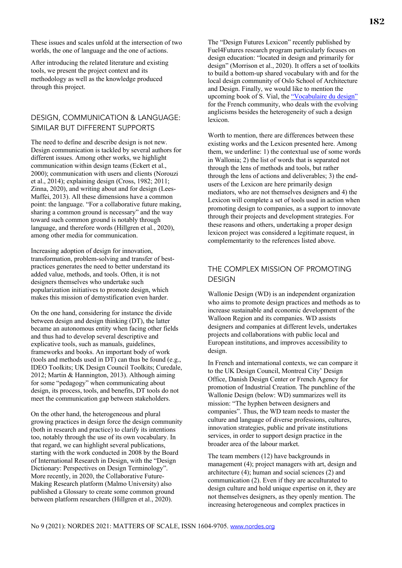These issues and scales unfold at the intersection of two worlds, the one of language and the one of actions.

After introducing the related literature and existing tools, we present the project context and its methodology as well as the knowledge produced through this project.

### DESIGN, COMMUNICATION & LANGUAGE: SIMILAR BUT DIFFERENT SUPPORTS

The need to define and describe design is not new. Design communication is tackled by several authors for different issues. Among other works, we highlight communication within design teams (Eckert et al., 2000); communication with users and clients (Norouzi et al., 2014); explaining design (Cross, 1982; 2011; Zinna, 2020), and writing about and for design (Lees-Maffei, 2013). All these dimensions have a common point: the language. "For a collaborative future making, sharing a common ground is necessary" and the way toward such common ground is notably through language, and therefore words (Hillgren et al., 2020), among other media for communication.

Increasing adoption of design for innovation, transformation, problem-solving and transfer of bestpractices generates the need to better understand its added value, methods, and tools. Often, it is not designers themselves who undertake such popularization initiatives to promote design, which makes this mission of demystification even harder.

On the one hand, considering for instance the divide between design and design thinking (DT), the latter became an autonomous entity when facing other fields and thus had to develop several descriptive and explicative tools, such as manuals, guidelines, frameworks and books. An important body of work (tools and methods used in DT) can thus be found (e.g., IDEO Toolkits; UK Design Council Toolkits; Curedale, 2012; Martin & Hannington, 2013). Although aiming for some "pedagogy" when communicating about design, its process, tools, and benefits, DT tools do not meet the communication gap between stakeholders.

On the other hand, the heterogeneous and plural growing practices in design force the design community (both in research and practice) to clarify its intentions too, notably through the use of its own vocabulary. In that regard, we can highlight several publications, starting with the work conducted in 2008 by the Board of International Research in Design, with the "Design Dictionary: Perspectives on Design Terminology". More recently, in 2020, the Collaborative Future-Making Research platform (Malmo University) also published a Glossary to create some common ground between platform researchers (Hillgren et al., 2020).

The "Design Futures Lexicon" recently published by Fuel4Futures research program particularly focuses on design education: "located in design and primarily for design" (Morrison et al., 2020). It offers a set of toolkits to build a bottom-up shared vocabulary with and for the local design community of Oslo School of Architecture and Design. Finally, we would like to mention the upcoming book of S. Vial, the "Vocabulaire du design" for the French community, who deals with the evolving anglicisms besides the heterogeneity of such a design lexicon.

Worth to mention, there are differences between these existing works and the Lexicon presented here. Among them, we underline: 1) the contextual use of some words in Wallonia; 2) the list of words that is separated not through the lens of methods and tools, but rather through the lens of actions and deliverables; 3) the endusers of the Lexicon are here primarily design mediators, who are not themselves designers and 4) the Lexicon will complete a set of tools used in action when promoting design to companies, as a support to innovate through their projects and development strategies. For these reasons and others, undertaking a proper design lexicon project was considered a legitimate request, in complementarity to the references listed above.

# THE COMPLEX MISSION OF PROMOTING **DESIGN**

Wallonie Design (WD) is an independent organization who aims to promote design practices and methods as to increase sustainable and economic development of the Walloon Region and its companies. WD assists designers and companies at different levels, undertakes projects and collaborations with public local and European institutions, and improves accessibility to design.

In French and international contexts, we can compare it to the UK Design Council, Montreal City' Design Office, Danish Design Center or French Agency for promotion of Industrial Creation. The punchline of the Wallonie Design (below: WD) summarizes well its mission: "The hyphen between designers and companies". Thus, the WD team needs to master the culture and language of diverse professions, cultures, innovation strategies, public and private institutions services, in order to support design practice in the broader area of the labour market.

The team members (12) have backgrounds in management (4); project managers with art, design and architecture (4); human and social sciences (2) and communication (2). Even if they are acculturated to design culture and hold unique expertise on it, they are not themselves designers, as they openly mention. The increasing heterogeneous and complex practices in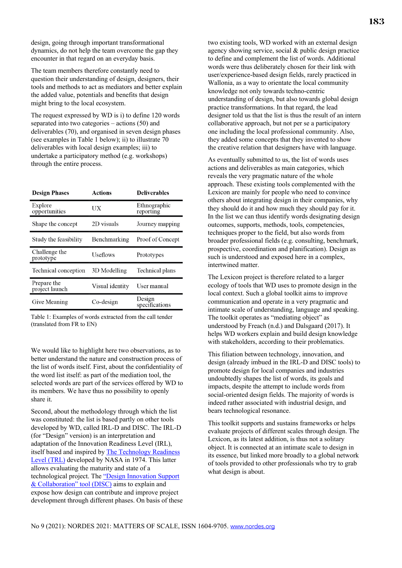design, going through important transformational dynamics, do not help the team overcome the gap they encounter in that regard on an everyday basis.

The team members therefore constantly need to question their understanding of design, designers, their tools and methods to act as mediators and better explain the added value, potentials and benefits that design might bring to the local ecosystem.

The request expressed by WD is i) to define 120 words separated into two categories – actions (50) and deliverables (70), and organised in seven design phases (see examples in Table 1 below); ii) to illustrate 70 deliverables with local design examples; iii) to undertake a participatory method (e.g. workshops) through the entire process.

| <b>Design Phases</b>          | <b>Actions</b>  | <b>Deliverables</b>       |
|-------------------------------|-----------------|---------------------------|
| Explore<br>opportunities      | UX              | Ethnographic<br>reporting |
| Shape the concept             | 2D visuals      | Journey mapping           |
| Study the feasibility         | Benchmarking    | Proof of Concept          |
| Challenge the<br>prototype    | <b>Useflows</b> | Prototypes                |
| Technical conception          | 3D Modelling    | Technical plans           |
| Prepare the<br>project launch | Visual identity | User manual               |
| Give Meaning                  | $Co$ -design    | Design<br>specifications  |

Table 1: Examples of words extracted from the call tender (translated from FR to EN)

We would like to highlight here two observations, as to better understand the nature and construction process of the list of words itself. First, about the confidentiality of the word list itself: as part of the mediation tool, the selected words are part of the services offered by WD to its members. We have thus no possibility to openly share it.

Second, about the methodology through which the list was constituted: the list is based partly on other tools developed by WD, called IRL-D and DISC. The IRL-D (for "Design" version) is an interpretation and adaptation of the Innovation Readiness Level (IRL), itself based and inspired by The Technology Readiness Level (TRL) developed by NASA in 1974. This latter allows evaluating the maturity and state of a technological project. The "Design Innovation Support & Collaboration" tool (DISC) aims to explain and expose how design can contribute and improve project development through different phases. On basis of these two existing tools, WD worked with an external design agency showing service, social & public design practice to define and complement the list of words. Additional words were thus deliberately chosen for their link with user/experience-based design fields, rarely practiced in Wallonia, as a way to orientate the local community knowledge not only towards techno-centric understanding of design, but also towards global design practice transformations. In that regard, the lead designer told us that the list is thus the result of an intern collaborative approach, but not per se a participatory one including the local professional community. Also, they added some concepts that they invented to show the creative relation that designers have with language.

As eventually submitted to us, the list of words uses actions and deliverables as main categories, which reveals the very pragmatic nature of the whole approach. These existing tools complemented with the Lexicon are mainly for people who need to convince others about integrating design in their companies, why they should do it and how much they should pay for it. In the list we can thus identify words designating design outcomes, supports, methods, tools, competencies, techniques proper to the field, but also words from broader professional fields (e.g. consulting, benchmark, prospective, coordination and planification). Design as such is understood and exposed here in a complex, intertwined matter.

The Lexicon project is therefore related to a larger ecology of tools that WD uses to promote design in the local context. Such a global toolkit aims to improve communication and operate in a very pragmatic and intimate scale of understanding, language and speaking. The toolkit operates as "mediating object" as understood by Freach (n.d.) and Dalsgaard (2017). It helps WD workers explain and build design knowledge with stakeholders, according to their problematics.

This filiation between technology, innovation, and design (already imbued in the IRL-D and DISC tools) to promote design for local companies and industries undoubtedly shapes the list of words, its goals and impacts, despite the attempt to include words from social-oriented design fields. The majority of words is indeed rather associated with industrial design, and bears technological resonance.

This toolkit supports and sustains frameworks or helps evaluate projects of different scales through design. The Lexicon, as its latest addition, is thus not a solitary object. It is connected at an intimate scale to design in its essence, but linked more broadly to a global network of tools provided to other professionals who try to grab what design is about.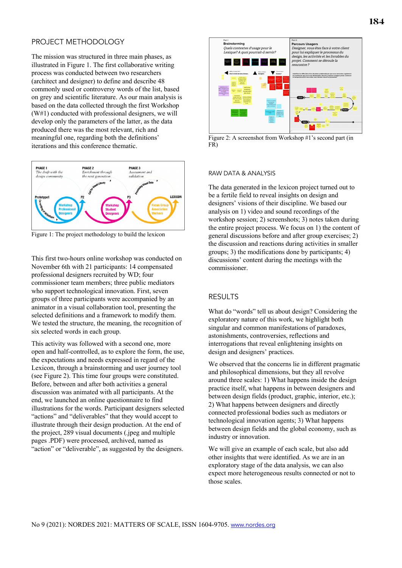#### PROJECT METHODOLOGY

The mission was structured in three main phases, as illustrated in Figure 1. The first collaborative writing process was conducted between two researchers (architect and designer) to define and describe 48 commonly used or controversy words of the list, based on grey and scientific literature. As our main analysis is based on the data collected through the first Workshop (W#1) conducted with professional designers, we will develop only the parameters of the latter, as the data produced there was the most relevant, rich and meaningful one, regarding both the definitions' iterations and this conference thematic.



Figure 1: The project methodology to build the lexicon

This first two-hours online workshop was conducted on November 6th with 21 participants: 14 compensated professional designers recruited by WD; four commissioner team members; three public mediators who support technological innovation. First, seven groups of three participants were accompanied by an animator in a visual collaboration tool, presenting the selected definitions and a framework to modify them. We tested the structure, the meaning, the recognition of six selected words in each group.

This activity was followed with a second one, more open and half-controlled, as to explore the form, the use, the expectations and needs expressed in regard of the Lexicon, through a brainstorming and user journey tool (see Figure 2). This time four groups were constituted. Before, between and after both activities a general discussion was animated with all participants. At the end, we launched an online questionnaire to find illustrations for the words. Participant designers selected "actions" and "deliverables" that they would accept to illustrate through their design production. At the end of the project, 289 visual documents (.jpeg and multiple pages .PDF) were processed, archived, named as "action" or "deliverable", as suggested by the designers.



Figure 2: A screenshot from Workshop #1's second part (in FR)

#### RAW DATA & ANALYSIS

The data generated in the lexicon project turned out to be a fertile field to reveal insights on design and designers' visions of their discipline. We based our analysis on 1) video and sound recordings of the workshop session; 2) screenshots; 3) notes taken during the entire project process. We focus on 1) the content of general discussions before and after group exercises; 2) the discussion and reactions during activities in smaller groups; 3) the modifications done by participants; 4) discussions' content during the meetings with the commissioner.

#### RESULTS

What do "words" tell us about design? Considering the exploratory nature of this work, we highlight both singular and common manifestations of paradoxes, astonishments, controversies, reflections and interrogations that reveal enlightening insights on design and designers' practices.

We observed that the concerns lie in different pragmatic and philosophical dimensions, but they all revolve around three scales: 1) What happens inside the design practice itself, what happens in between designers and between design fields (product, graphic, interior, etc.); 2) What happens between designers and directly connected professional bodies such as mediators or technological innovation agents; 3) What happens between design fields and the global economy, such as industry or innovation.

We will give an example of each scale, but also add other insights that were identified. As we are in an exploratory stage of the data analysis, we can also expect more heterogeneous results connected or not to those scales.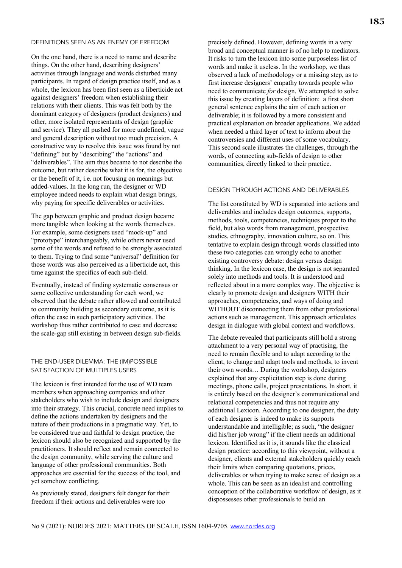#### DEFINITIONS SEEN AS AN ENEMY OF FREEDOM

On the one hand, there is a need to name and describe things. On the other hand, describing designers' activities through language and words disturbed many participants. In regard of design practice itself, and as a whole, the lexicon has been first seen as a liberticide act against designers' freedom when establishing their relations with their clients. This was felt both by the dominant category of designers (product designers) and other, more isolated representants of design (graphic and service). They all pushed for more undefined, vague and general description without too much precision. A constructive way to resolve this issue was found by not "defining" but by "describing" the "actions" and "deliverables". The aim thus became to not describe the outcome, but rather describe what it is for, the objective or the benefit of it, i.e. not focusing on meanings but added-values. In the long run, the designer or WD employee indeed needs to explain what design brings, why paying for specific deliverables or activities.

The gap between graphic and product design became more tangible when looking at the words themselves. For example, some designers used "mock-up" and "prototype" interchangeably, while others never used some of the words and refused to be strongly associated to them. Trying to find some "universal" definition for those words was also perceived as a liberticide act, this time against the specifics of each sub-field.

Eventually, instead of finding systematic consensus or some collective understanding for each word, we observed that the debate rather allowed and contributed to community building as secondary outcome, as it is often the case in such participatory activities. The workshop thus rather contributed to ease and decrease the scale-gap still existing in between design sub-fields.

#### THE END-USER DILEMMA: THE (IM)POSSIBLE SATISFACTION OF MULTIPLES USERS

The lexicon is first intended for the use of WD team members when approaching companies and other stakeholders who wish to include design and designers into their strategy. This crucial, concrete need implies to define the actions undertaken by designers and the nature of their productions in a pragmatic way. Yet, to be considered true and faithful to design practice, the lexicon should also be recognized and supported by the practitioners. It should reflect and remain connected to the design community, while serving the culture and language of other professional communities. Both approaches are essential for the success of the tool, and yet somehow conflicting.

As previously stated, designers felt danger for their freedom if their actions and deliverables were too

precisely defined. However, defining words in a very broad and conceptual manner is of no help to mediators. It risks to turn the lexicon into some purposeless list of words and make it useless. In the workshop, we thus observed a lack of methodology or a missing step, as to first increase designers' empathy towards people who need to communicate *for* design. We attempted to solve this issue by creating layers of definition: a first short general sentence explains the aim of each action or deliverable; it is followed by a more consistent and practical explanation on broader applications. We added when needed a third layer of text to inform about the controversies and different uses of some vocabulary. This second scale illustrates the challenges, through the words, of connecting sub-fields of design to other communities, directly linked to their practice.

#### DESIGN THROUGH ACTIONS AND DELIVERABLES

The list constituted by WD is separated into actions and deliverables and includes design outcomes, supports, methods, tools, competencies, techniques proper to the field, but also words from management, prospective studies, ethnography, innovation culture, so on. This tentative to explain design through words classified into these two categories can wrongly echo to another existing controversy debate: design versus design thinking. In the lexicon case, the design is not separated solely into methods and tools. It is understood and reflected about in a more complex way. The objective is clearly to promote design and designers WITH their approaches, competencies, and ways of doing and WITHOUT disconnecting them from other professional actions such as management. This approach articulates design in dialogue with global context and workflows.

The debate revealed that participants still hold a strong attachment to a very personal way of practising, the need to remain flexible and to adapt according to the client, to change and adapt tools and methods, to invent their own words… During the workshop, designers explained that any explicitation step is done during meetings, phone calls, project presentations. In short, it is entirely based on the designer's communicational and relational competencies and thus not require any additional Lexicon. According to one designer, the duty of each designer is indeed to make its supports understandable and intelligible; as such, "the designer did his/her job wrong" if the client needs an additional lexicon. Identified as it is, it sounds like the classical design practice: according to this viewpoint, without a designer, clients and external stakeholders quickly reach their limits when comparing quotations, prices, deliverables or when trying to make sense of design as a whole. This can be seen as an idealist and controlling conception of the collaborative workflow of design, as it dispossesses other professionals to build an